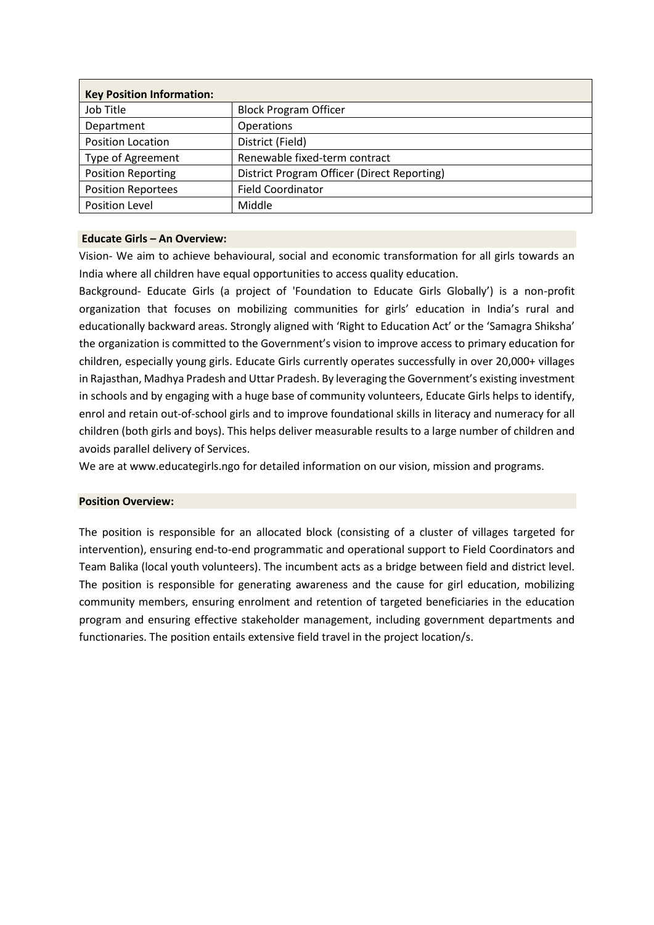| <b>Key Position Information:</b> |                                             |
|----------------------------------|---------------------------------------------|
| Job Title                        | <b>Block Program Officer</b>                |
| Department                       | Operations                                  |
| Position Location                | District (Field)                            |
| <b>Type of Agreement</b>         | Renewable fixed-term contract               |
| <b>Position Reporting</b>        | District Program Officer (Direct Reporting) |
| <b>Position Reportees</b>        | <b>Field Coordinator</b>                    |
| <b>Position Level</b>            | Middle                                      |

### **Educate Girls – An Overview:**

Vision- We aim to achieve behavioural, social and economic transformation for all girls towards an India where all children have equal opportunities to access quality education.

Background- Educate Girls (a project of 'Foundation to Educate Girls Globally') is a non-profit organization that focuses on mobilizing communities for girls' education in India's rural and educationally backward areas. Strongly aligned with 'Right to Education Act' or the 'Samagra Shiksha' the organization is committed to the Government's vision to improve access to primary education for children, especially young girls. Educate Girls currently operates successfully in over 20,000+ villages in Rajasthan, Madhya Pradesh and Uttar Pradesh. By leveraging the Government's existing investment in schools and by engaging with a huge base of community volunteers, Educate Girls helps to identify, enrol and retain out-of-school girls and to improve foundational skills in literacy and numeracy for all children (both girls and boys). This helps deliver measurable results to a large number of children and avoids parallel delivery of Services.

We are at [www.educategirls.ngo](http://www.educategirls.ngo/) for detailed information on our vision, mission and programs.

#### **Position Overview:**

The position is responsible for an allocated block (consisting of a cluster of villages targeted for intervention), ensuring end-to-end programmatic and operational support to Field Coordinators and Team Balika (local youth volunteers). The incumbent acts as a bridge between field and district level. The position is responsible for generating awareness and the cause for girl education, mobilizing community members, ensuring enrolment and retention of targeted beneficiaries in the education program and ensuring effective stakeholder management, including government departments and functionaries. The position entails extensive field travel in the project location/s.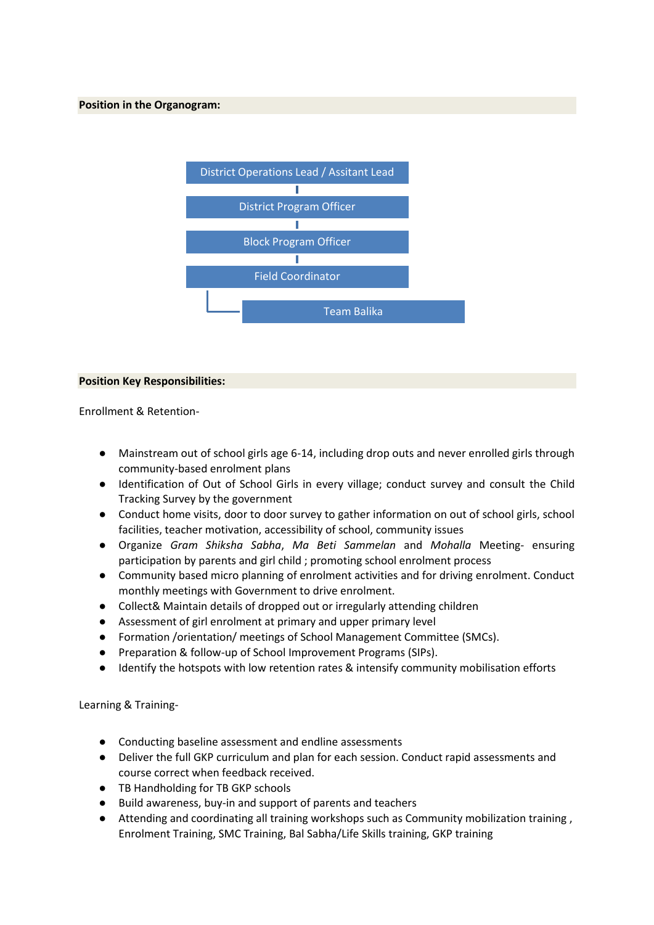

### **Position Key Responsibilities:**

Enrollment & Retention-

- Mainstream out of school girls age 6-14, including drop outs and never enrolled girls through community-based enrolment plans
- Identification of Out of School Girls in every village; conduct survey and consult the Child Tracking Survey by the government
- Conduct home visits, door to door survey to gather information on out of school girls, school facilities, teacher motivation, accessibility of school, community issues
- Organize *Gram Shiksha Sabha*, *Ma Beti Sammelan* and *Mohalla* Meeting- ensuring participation by parents and girl child ; promoting school enrolment process
- Community based micro planning of enrolment activities and for driving enrolment. Conduct monthly meetings with Government to drive enrolment.
- Collect& Maintain details of dropped out or irregularly attending children
- Assessment of girl enrolment at primary and upper primary level
- Formation /orientation/ meetings of School Management Committee (SMCs).
- Preparation & follow-up of School Improvement Programs (SIPs).
- Identify the hotspots with low retention rates & intensify community mobilisation efforts

Learning & Training-

- Conducting baseline assessment and endline assessments
- Deliver the full GKP curriculum and plan for each session. Conduct rapid assessments and course correct when feedback received.
- TB Handholding for TB GKP schools
- Build awareness, buy-in and support of parents and teachers
- Attending and coordinating all training workshops such as Community mobilization training, Enrolment Training, SMC Training, Bal Sabha/Life Skills training, GKP training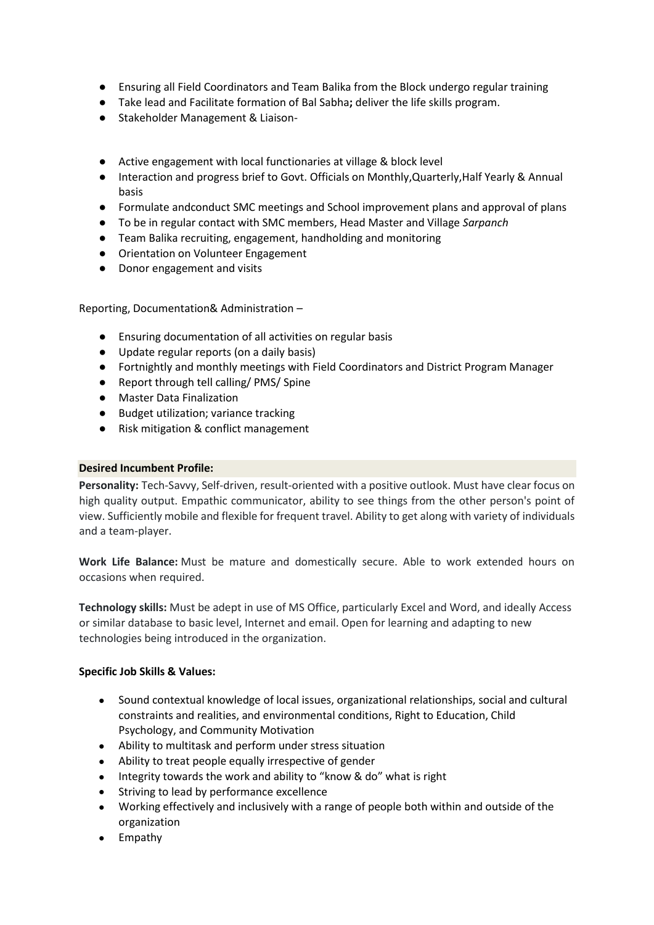- Ensuring all Field Coordinators and Team Balika from the Block undergo regular training
- Take lead and Facilitate formation of Bal Sabha**;** deliver the life skills program.
- Stakeholder Management & Liaison-
- Active engagement with local functionaries at village & block level
- Interaction and progress brief to Govt. Officials on Monthly,Quarterly,Half Yearly & Annual basis
- Formulate andconduct SMC meetings and School improvement plans and approval of plans
- To be in regular contact with SMC members, Head Master and Village *Sarpanch*
- Team Balika recruiting, engagement, handholding and monitoring
- Orientation on Volunteer Engagement
- Donor engagement and visits

Reporting, Documentation& Administration –

- Ensuring documentation of all activities on regular basis
- Update regular reports (on a daily basis)
- Fortnightly and monthly meetings with Field Coordinators and District Program Manager
- Report through tell calling/ PMS/ Spine
- Master Data Finalization
- Budget utilization; variance tracking
- Risk mitigation & conflict management

## **Desired Incumbent Profile:**

**Personality:** Tech-Savvy, Self-driven, result-oriented with a positive outlook. Must have clear focus on high quality output. Empathic communicator, ability to see things from the other person's point of view. Sufficiently mobile and flexible for frequent travel. Ability to get along with variety of individuals and a team-player.

**Work Life Balance:** Must be mature and domestically secure. Able to work extended hours on occasions when required.

**Technology skills:** Must be adept in use of MS Office, particularly Excel and Word, and ideally Access or similar database to basic level, Internet and email. Open for learning and adapting to new technologies being introduced in the organization.

# **Specific Job Skills & Values:**

- Sound contextual knowledge of local issues, organizational relationships, social and cultural constraints and realities, and environmental conditions, Right to Education, Child Psychology, and Community Motivation
- Ability to multitask and perform under stress situation
- Ability to treat people equally irrespective of gender
- Integrity towards the work and ability to "know & do" what is right
- Striving to lead by performance excellence
- Working effectively and inclusively with a range of people both within and outside of the organization
- Empathy